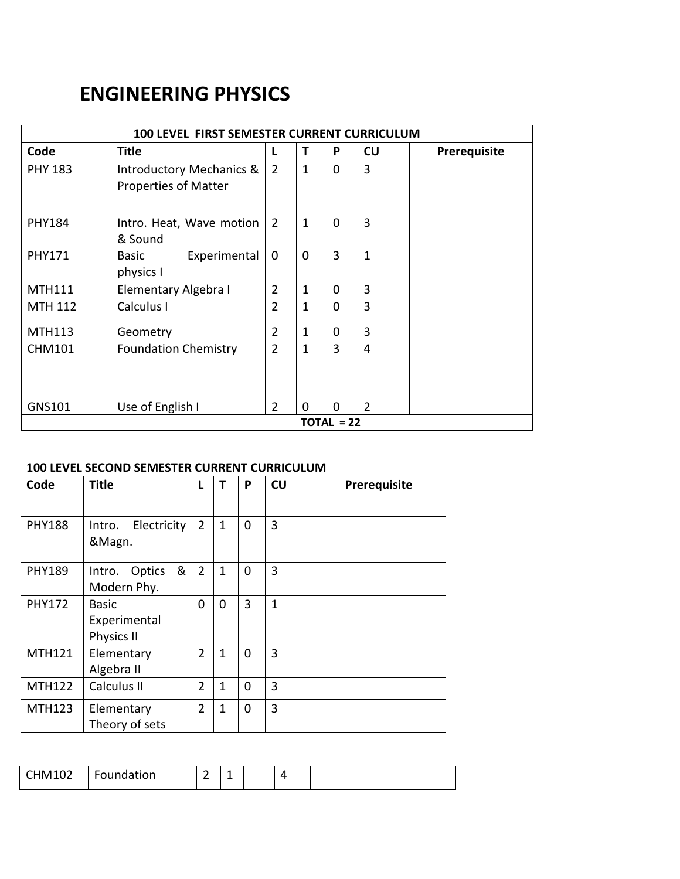## **ENGINEERING PHYSICS**

| <b>100 LEVEL FIRST SEMESTER CURRENT CURRICULUM</b> |                                                                    |                |              |              |                |              |  |  |  |
|----------------------------------------------------|--------------------------------------------------------------------|----------------|--------------|--------------|----------------|--------------|--|--|--|
| Code                                               | Title                                                              | L              | т            | P            | CU             | Prerequisite |  |  |  |
| <b>PHY 183</b>                                     | <b>Introductory Mechanics &amp;</b><br><b>Properties of Matter</b> | 2              | $\mathbf{1}$ | $\mathbf 0$  | 3              |              |  |  |  |
| <b>PHY184</b>                                      | Intro. Heat, Wave motion<br>& Sound                                | $\overline{2}$ | $\mathbf{1}$ | $\mathbf 0$  | 3              |              |  |  |  |
| <b>PHY171</b>                                      | Experimental<br><b>Basic</b><br>physics I                          | $\mathbf 0$    | $\mathbf{0}$ | 3            | $\mathbf{1}$   |              |  |  |  |
| <b>MTH111</b>                                      | Elementary Algebra I                                               | $\overline{2}$ | 1            | $\Omega$     | 3              |              |  |  |  |
| <b>MTH 112</b>                                     | Calculus I                                                         | $\overline{2}$ | 1            | $\Omega$     | 3              |              |  |  |  |
| <b>MTH113</b>                                      | Geometry                                                           | $\overline{2}$ | 1            | 0            | 3              |              |  |  |  |
| <b>CHM101</b>                                      | <b>Foundation Chemistry</b>                                        | $\overline{2}$ | $\mathbf{1}$ | 3            | 4              |              |  |  |  |
| GNS101                                             | Use of English I                                                   | $\overline{2}$ | $\Omega$     | $\Omega$     | $\overline{2}$ |              |  |  |  |
|                                                    |                                                                    |                |              | $TOTAL = 22$ |                |              |  |  |  |

| 100 LEVEL SECOND SEMESTER CURRENT CURRICULUM |                                      |                |              |          |              |              |  |  |  |  |
|----------------------------------------------|--------------------------------------|----------------|--------------|----------|--------------|--------------|--|--|--|--|
| Code                                         | <b>Title</b>                         | L              | т            | P        | CU           | Prerequisite |  |  |  |  |
| <b>PHY188</b>                                | Electricity<br>Intro.<br>&Magn.      | $\overline{2}$ | $\mathbf{1}$ | 0        | 3            |              |  |  |  |  |
| <b>PHY189</b>                                | &<br>Optics<br>Intro.<br>Modern Phy. | $\overline{2}$ | $\mathbf{1}$ | $\Omega$ | 3            |              |  |  |  |  |
| <b>PHY172</b>                                | Basic<br>Experimental<br>Physics II  | 0              | $\Omega$     | 3        | $\mathbf{1}$ |              |  |  |  |  |
| <b>MTH121</b>                                | Elementary<br>Algebra II             | $\overline{2}$ | 1            | $\Omega$ | 3            |              |  |  |  |  |
| <b>MTH122</b>                                | Calculus II                          | $\overline{2}$ | $\mathbf{1}$ | $\Omega$ | 3            |              |  |  |  |  |
| <b>MTH123</b>                                | Elementary<br>Theory of sets         | $\overline{2}$ | 1            | $\Omega$ | 3            |              |  |  |  |  |

| <b>CHM102</b><br>$\sim$ | oundation |  | - |  |  |  |
|-------------------------|-----------|--|---|--|--|--|
|-------------------------|-----------|--|---|--|--|--|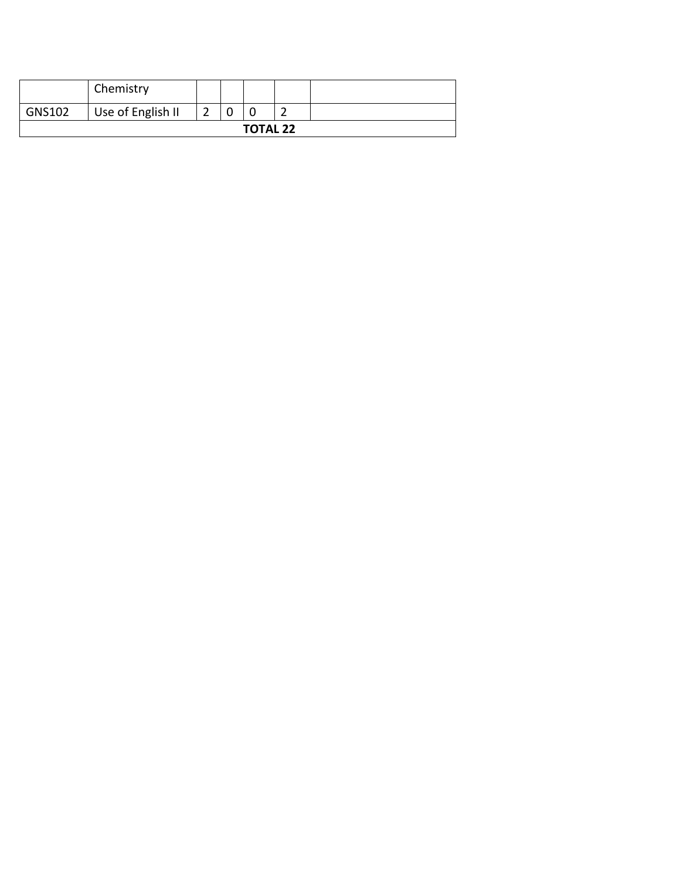|                 | Chemistry         |   |  |  |   |  |  |
|-----------------|-------------------|---|--|--|---|--|--|
| GNS102          | Use of English II | ∽ |  |  | - |  |  |
| <b>TOTAL 22</b> |                   |   |  |  |   |  |  |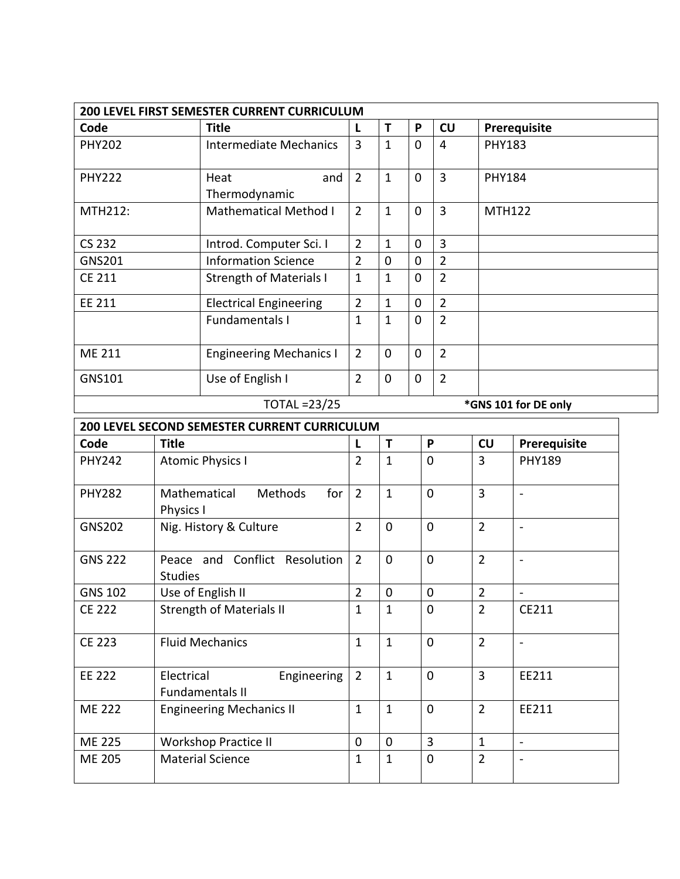| <b>200 LEVEL FIRST SEMESTER CURRENT CURRICULUM</b> |                                |                |             |             |                |                      |  |  |  |  |
|----------------------------------------------------|--------------------------------|----------------|-------------|-------------|----------------|----------------------|--|--|--|--|
| Code                                               | <b>Title</b>                   | L              | т           | P           | CU             | Prerequisite         |  |  |  |  |
| <b>PHY202</b>                                      | Intermediate Mechanics         | $\overline{3}$ | 1           | 0           | 4              | <b>PHY183</b>        |  |  |  |  |
| <b>PHY222</b>                                      | and<br>Heat<br>Thermodynamic   | $\overline{2}$ | 1           | $\mathbf 0$ | 3              | <b>PHY184</b>        |  |  |  |  |
| <b>MTH212:</b>                                     | <b>Mathematical Method I</b>   | $\overline{2}$ | 1           | $\mathbf 0$ | 3              | <b>MTH122</b>        |  |  |  |  |
| <b>CS 232</b>                                      | Introd. Computer Sci. I        | $\overline{2}$ | 1           | 0           | 3              |                      |  |  |  |  |
| <b>GNS201</b>                                      | <b>Information Science</b>     | $\overline{2}$ | $\Omega$    | $\Omega$    | 2              |                      |  |  |  |  |
| <b>CE 211</b>                                      | <b>Strength of Materials I</b> | 1              | $\mathbf 1$ | $\mathbf 0$ | $\overline{2}$ |                      |  |  |  |  |
| EE 211                                             | <b>Electrical Engineering</b>  | $\overline{2}$ | 1           | $\mathbf 0$ | $\overline{2}$ |                      |  |  |  |  |
|                                                    | <b>Fundamentals I</b>          | $\mathbf{1}$   | 1           | $\Omega$    | $\overline{2}$ |                      |  |  |  |  |
| <b>ME 211</b>                                      | <b>Engineering Mechanics I</b> | $\overline{2}$ | 0           | $\Omega$    | $\overline{2}$ |                      |  |  |  |  |
| GNS101                                             | Use of English I               | $\overline{2}$ | 0           | $\mathbf 0$ | $\overline{2}$ |                      |  |  |  |  |
|                                                    | <b>TOTAL =23/25</b>            |                |             |             |                | *GNS 101 for DE only |  |  |  |  |

| <b>200 LEVEL SECOND SEMESTER CURRENT CURRICULUM</b> |                                                     |                |                |                |                |                          |  |  |  |  |
|-----------------------------------------------------|-----------------------------------------------------|----------------|----------------|----------------|----------------|--------------------------|--|--|--|--|
| Code                                                | <b>Title</b>                                        |                | Т              | P              | CU             | Prerequisite             |  |  |  |  |
| <b>PHY242</b>                                       | <b>Atomic Physics I</b>                             | $\overline{2}$ | $\mathbf{1}$   | $\overline{0}$ | 3              | <b>PHY189</b>            |  |  |  |  |
| <b>PHY282</b>                                       | Mathematical<br><b>Methods</b><br>for<br>Physics I  | $\overline{2}$ | $\mathbf{1}$   | $\mathbf{0}$   | $\overline{3}$ | $\overline{\phantom{a}}$ |  |  |  |  |
| <b>GNS202</b>                                       | Nig. History & Culture                              | $\overline{2}$ | 0              | $\Omega$       | $\overline{2}$ | $\blacksquare$           |  |  |  |  |
| <b>GNS 222</b>                                      | Peace and Conflict Resolution<br><b>Studies</b>     | $\overline{2}$ | $\overline{0}$ | $\Omega$       | $\overline{2}$ | $\blacksquare$           |  |  |  |  |
| <b>GNS 102</b>                                      | Use of English II                                   | $\overline{2}$ | 0              | $\mathbf{0}$   | $\overline{2}$ | $\overline{\phantom{a}}$ |  |  |  |  |
| <b>CE 222</b>                                       | <b>Strength of Materials II</b>                     | 1              | $\mathbf{1}$   | $\Omega$       | $\overline{2}$ | CE211                    |  |  |  |  |
| <b>CE 223</b>                                       | <b>Fluid Mechanics</b>                              | $\mathbf{1}$   | $\mathbf{1}$   | $\Omega$       | $\overline{2}$ | $\overline{\phantom{a}}$ |  |  |  |  |
| <b>EE 222</b>                                       | Electrical<br>Engineering<br><b>Fundamentals II</b> | $\overline{2}$ | $\mathbf{1}$   | $\overline{0}$ | $\overline{3}$ | EE211                    |  |  |  |  |
| <b>ME 222</b>                                       | <b>Engineering Mechanics II</b>                     | $\mathbf{1}$   | $\mathbf{1}$   | $\Omega$       | $\overline{2}$ | EE211                    |  |  |  |  |
| <b>ME 225</b>                                       | <b>Workshop Practice II</b>                         | $\Omega$       | $\Omega$       | 3              | 1              | $\blacksquare$           |  |  |  |  |
| <b>ME 205</b>                                       | <b>Material Science</b>                             | 1              | $\mathbf{1}$   | $\Omega$       | $\overline{2}$ |                          |  |  |  |  |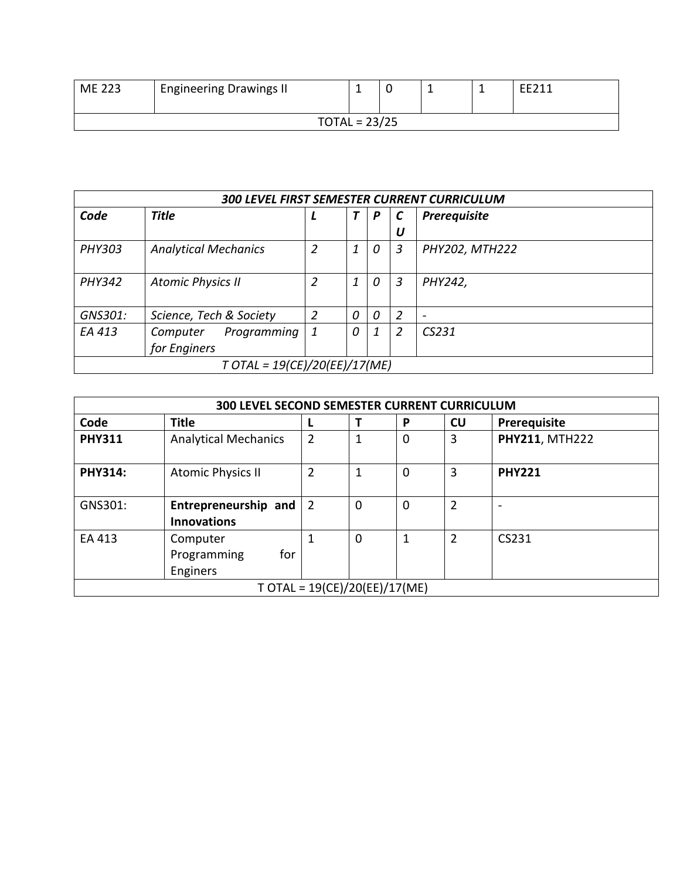| ME 223 | <b>Engineering Drawings II</b> |                 |  |  | <b>FF711</b> |
|--------|--------------------------------|-----------------|--|--|--------------|
|        |                                | $TOTAL = 23/25$ |  |  |              |

| <b>300 LEVEL FIRST SEMESTER CURRENT CURRICULUM</b> |                               |   |          |   |                |                          |  |  |  |
|----------------------------------------------------|-------------------------------|---|----------|---|----------------|--------------------------|--|--|--|
| Code                                               | <b>Title</b>                  |   |          | P |                | Prerequisite             |  |  |  |
|                                                    |                               |   |          |   | U              |                          |  |  |  |
| <b>PHY303</b>                                      | <b>Analytical Mechanics</b>   | 2 | 1        | 0 | 3              | PHY202, MTH222           |  |  |  |
|                                                    |                               |   |          |   |                |                          |  |  |  |
| <b>PHY342</b>                                      | <b>Atomic Physics II</b>      | 2 | 1        | 0 | 3              | PHY242,                  |  |  |  |
|                                                    |                               |   |          |   |                |                          |  |  |  |
| GNS301:                                            | Science, Tech & Society       | 2 | 0        | 0 | $\overline{2}$ | $\overline{\phantom{a}}$ |  |  |  |
| EA 413                                             | Programming<br>Computer       | 1 | $\Omega$ | 1 | 2              | CS231                    |  |  |  |
|                                                    | for Enginers                  |   |          |   |                |                          |  |  |  |
|                                                    | T OTAL = 19(CE)/20(EE)/17(ME) |   |          |   |                |                          |  |  |  |

|                | <b>300 LEVEL SECOND SEMESTER CURRENT CURRICULUM</b> |                |                                 |   |                |                       |  |  |  |  |  |
|----------------|-----------------------------------------------------|----------------|---------------------------------|---|----------------|-----------------------|--|--|--|--|--|
| Code           | <b>Title</b>                                        | L              | Т                               | P | CU             | Prerequisite          |  |  |  |  |  |
| <b>PHY311</b>  | <b>Analytical Mechanics</b>                         | $\overline{2}$ | 1                               | 0 | 3              | <b>PHY211, MTH222</b> |  |  |  |  |  |
| <b>PHY314:</b> | <b>Atomic Physics II</b>                            | $\overline{2}$ | 1                               | 0 | 3              | <b>PHY221</b>         |  |  |  |  |  |
| GNS301:        | Entrepreneurship and<br><b>Innovations</b>          | $\overline{2}$ | 0                               | 0 | $\overline{2}$ |                       |  |  |  |  |  |
| EA 413         | Computer<br>for<br>Programming<br><b>Enginers</b>   | 1              | 0                               | 1 | 2              | CS231                 |  |  |  |  |  |
|                |                                                     |                | $T$ OTAL = 19(CE)/20(EE)/17(ME) |   |                |                       |  |  |  |  |  |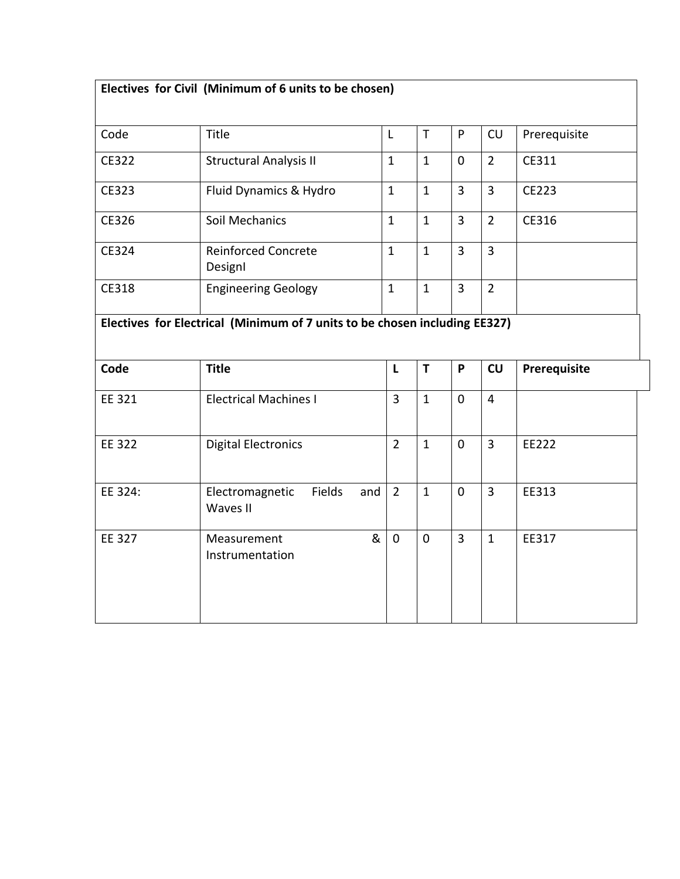| Electives for Civil (Minimum of 6 units to be chosen)                      |                                              |                |              |                |                |              |  |  |  |
|----------------------------------------------------------------------------|----------------------------------------------|----------------|--------------|----------------|----------------|--------------|--|--|--|
| Code                                                                       | Title                                        | L              | T            | P              | CU             | Prerequisite |  |  |  |
| CE322                                                                      | <b>Structural Analysis II</b>                | $\mathbf{1}$   | $\mathbf{1}$ | $\mathbf 0$    | $\overline{2}$ | CE311        |  |  |  |
| CE323                                                                      | Fluid Dynamics & Hydro                       | $\mathbf{1}$   | $\mathbf{1}$ | $\overline{3}$ | $\overline{3}$ | CE223        |  |  |  |
| CE326                                                                      | Soil Mechanics                               | $\mathbf{1}$   | $\mathbf{1}$ | $\overline{3}$ | $\overline{2}$ | CE316        |  |  |  |
| CE324                                                                      | <b>Reinforced Concrete</b><br>DesignI        | $\mathbf{1}$   | $\mathbf{1}$ | $\overline{3}$ | $\overline{3}$ |              |  |  |  |
| CE318                                                                      | <b>Engineering Geology</b>                   | $\mathbf{1}$   | $\mathbf{1}$ | $\overline{3}$ | $\overline{2}$ |              |  |  |  |
| Electives for Electrical (Minimum of 7 units to be chosen including EE327) |                                              |                |              |                |                |              |  |  |  |
|                                                                            |                                              |                |              |                |                |              |  |  |  |
| Code                                                                       | <b>Title</b>                                 | L              | T            | P              | CU             | Prerequisite |  |  |  |
| EE 321                                                                     | <b>Electrical Machines I</b>                 | $\overline{3}$ | $\mathbf{1}$ | $\mathbf 0$    | $\overline{4}$ |              |  |  |  |
| <b>EE 322</b>                                                              | <b>Digital Electronics</b>                   | $\overline{2}$ | $\mathbf{1}$ | $\mathbf 0$    | $\overline{3}$ | EE222        |  |  |  |
| EE 324:                                                                    | Fields<br>Electromagnetic<br>and<br>Waves II | $\overline{2}$ | $\mathbf{1}$ | $\mathbf 0$    | $\overline{3}$ | EE313        |  |  |  |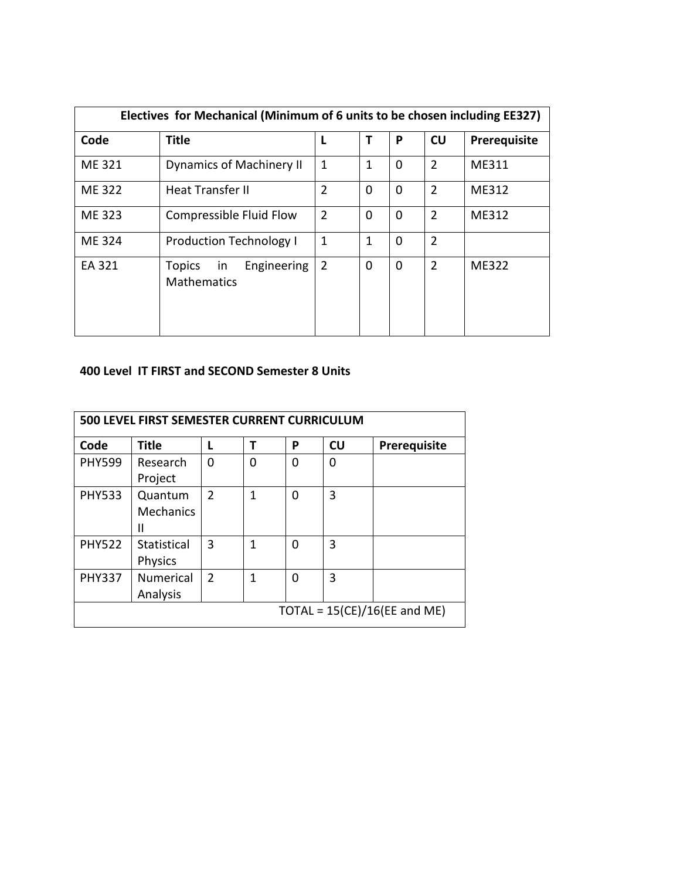| Electives for Mechanical (Minimum of 6 units to be chosen including EE327) |                                                          |                |              |          |                |              |  |  |  |
|----------------------------------------------------------------------------|----------------------------------------------------------|----------------|--------------|----------|----------------|--------------|--|--|--|
| Code                                                                       | <b>Title</b>                                             | L              | Т            | P        | CU             | Prerequisite |  |  |  |
| ME 321                                                                     | <b>Dynamics of Machinery II</b>                          | 1              | 1            | $\Omega$ | $\overline{2}$ | ME311        |  |  |  |
| <b>ME 322</b>                                                              | <b>Heat Transfer II</b>                                  | $\overline{2}$ | 0            | $\Omega$ | $\overline{2}$ | ME312        |  |  |  |
| ME 323                                                                     | Compressible Fluid Flow                                  | $\overline{2}$ | $\Omega$     | $\Omega$ | $\overline{2}$ | ME312        |  |  |  |
| ME 324                                                                     | <b>Production Technology I</b>                           | 1              | $\mathbf{1}$ | $\Omega$ | $\overline{2}$ |              |  |  |  |
| EA 321                                                                     | in<br>Engineering<br><b>Topics</b><br><b>Mathematics</b> | $\overline{2}$ | $\Omega$     | $\Omega$ | $\overline{2}$ | <b>ME322</b> |  |  |  |

## **400 Level IT FIRST and SECOND Semester 8 Units**

| 500 LEVEL FIRST SEMESTER CURRENT CURRICULUM |                                  |                |   |   |           |              |  |  |  |
|---------------------------------------------|----------------------------------|----------------|---|---|-----------|--------------|--|--|--|
| Code                                        | <b>Title</b>                     | L              | т | P | <b>CU</b> | Prerequisite |  |  |  |
| <b>PHY599</b>                               | Research<br>Project              | 0              | 0 | 0 | 0         |              |  |  |  |
| <b>PHY533</b>                               | Quantum<br><b>Mechanics</b><br>Ш | $\overline{2}$ | 1 | 0 | 3         |              |  |  |  |
| <b>PHY522</b>                               | Statistical<br><b>Physics</b>    | 3              | 1 | 0 | 3         |              |  |  |  |
| <b>PHY337</b>                               | <b>Numerical</b><br>Analysis     | $\overline{2}$ | 1 | 0 | 3         |              |  |  |  |
|                                             | TOTAL = $15(CE)/16(EE$ and ME)   |                |   |   |           |              |  |  |  |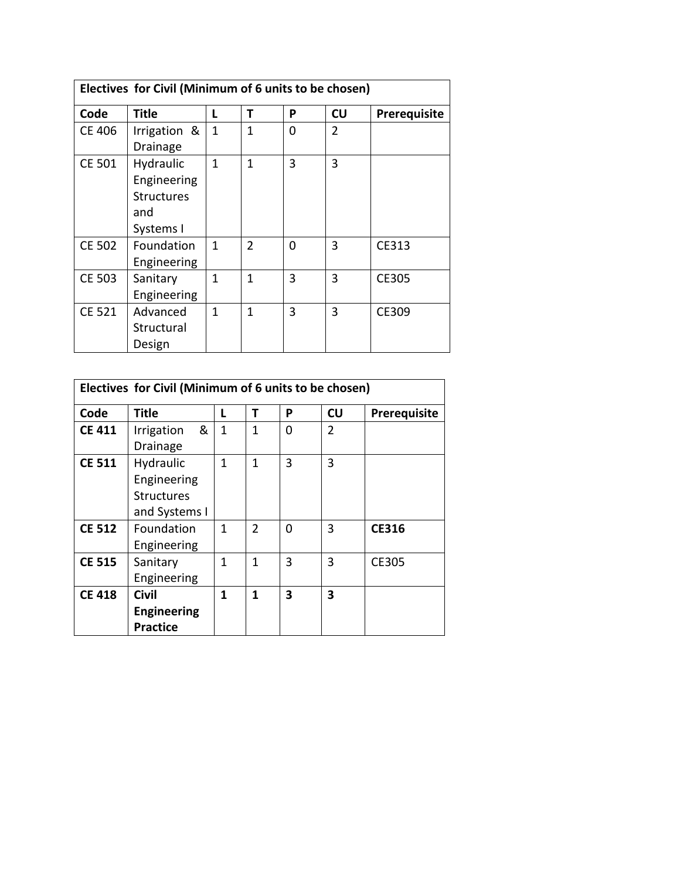| Electives for Civil (Minimum of 6 units to be chosen) |                                                                   |              |               |   |                |                     |  |  |  |
|-------------------------------------------------------|-------------------------------------------------------------------|--------------|---------------|---|----------------|---------------------|--|--|--|
| Code                                                  | Title                                                             | L            | т             | P | <b>CU</b>      | <b>Prerequisite</b> |  |  |  |
| CE 406                                                | Irrigation &<br>Drainage                                          | $\mathbf{1}$ | 1             | 0 | $\overline{2}$ |                     |  |  |  |
| <b>CE 501</b>                                         | Hydraulic<br>Engineering<br><b>Structures</b><br>and<br>Systems I | $\mathbf{1}$ | 1             | 3 | 3              |                     |  |  |  |
| CE 502                                                | Foundation<br>Engineering                                         | 1            | $\mathcal{P}$ | O | 3              | CE313               |  |  |  |
| <b>CE 503</b>                                         | Sanitary<br>Engineering                                           | $\mathbf{1}$ | 1             | 3 | 3              | CE305               |  |  |  |
| <b>CE 521</b>                                         | Advanced<br>Structural<br>Design                                  | $\mathbf{1}$ | 1             | 3 | 3              | CE309               |  |  |  |

| Electives for Civil (Minimum of 6 units to be chosen) |                                                                |              |                |          |                |              |  |  |  |
|-------------------------------------------------------|----------------------------------------------------------------|--------------|----------------|----------|----------------|--------------|--|--|--|
| Code                                                  | <b>Title</b>                                                   | L            | Т              | P        | CU             | Prerequisite |  |  |  |
| <b>CE 411</b>                                         | &<br>Irrigation<br><b>Drainage</b>                             | $\mathbf{1}$ | 1              | $\Omega$ | $\overline{2}$ |              |  |  |  |
| <b>CE 511</b>                                         | Hydraulic<br>Engineering<br><b>Structures</b><br>and Systems I | 1            | 1              | 3        | 3              |              |  |  |  |
| <b>CE 512</b>                                         | Foundation<br>Engineering                                      | $\mathbf{1}$ | $\overline{2}$ | 0        | 3              | <b>CE316</b> |  |  |  |
| <b>CE 515</b>                                         | Sanitary<br>Engineering                                        | 1            | 1              | 3        | 3              | <b>CE305</b> |  |  |  |
| <b>CE 418</b>                                         | <b>Civil</b><br><b>Engineering</b><br><b>Practice</b>          | 1            | $\mathbf{1}$   | 3        | 3              |              |  |  |  |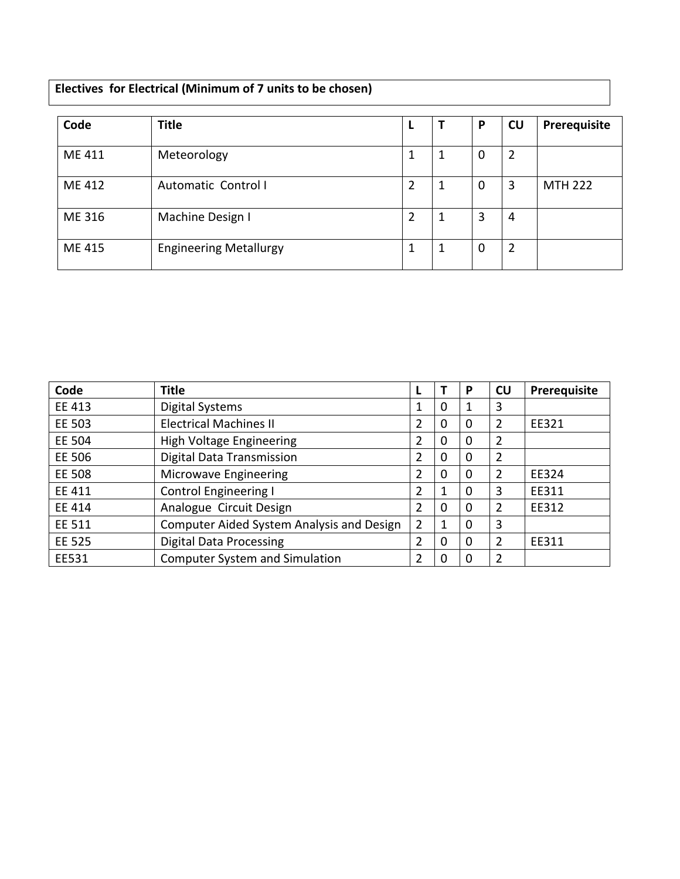## **Electives for Electrical (Minimum of 7 units to be chosen)**

| Code   | <b>Title</b>                  |   |   | P           | <b>CU</b>      | Prerequisite   |
|--------|-------------------------------|---|---|-------------|----------------|----------------|
| ME 411 | Meteorology                   |   | 1 | $\mathbf 0$ | $\overline{2}$ |                |
| ME 412 | Automatic Control I           | 2 | 1 | $\mathbf 0$ | 3              | <b>MTH 222</b> |
| ME 316 | Machine Design I              | 2 |   | 3           | 4              |                |
| ME 415 | <b>Engineering Metallurgy</b> |   | 1 | 0           | $\overline{2}$ |                |

| Code          | <b>Title</b>                              |   |          | P        | <b>CU</b>      | Prerequisite |
|---------------|-------------------------------------------|---|----------|----------|----------------|--------------|
| EE 413        | <b>Digital Systems</b>                    | 1 | 0        |          | 3              |              |
| EE 503        | <b>Electrical Machines II</b>             | 2 | 0        | $\Omega$ | 2              | EE321        |
| EE 504        | High Voltage Engineering                  | 2 | 0        | $\Omega$ | 2              |              |
| EE 506        | Digital Data Transmission                 | 2 | 0        | 0        | 2              |              |
| EE 508        | Microwave Engineering                     | 2 | 0        | $\Omega$ | $\overline{2}$ | EE324        |
| EE 411        | <b>Control Engineering I</b>              | 2 | 1        | 0        | 3              | EE311        |
| EE 414        | Analogue Circuit Design                   | 2 | $\Omega$ | $\Omega$ | 2              | EE312        |
| EE 511        | Computer Aided System Analysis and Design | 2 | 1        | 0        | 3              |              |
| <b>EE 525</b> | <b>Digital Data Processing</b>            | 2 | 0        | 0        | 2              | EE311        |
| EE531         | <b>Computer System and Simulation</b>     | 2 | 0        |          | 2              |              |